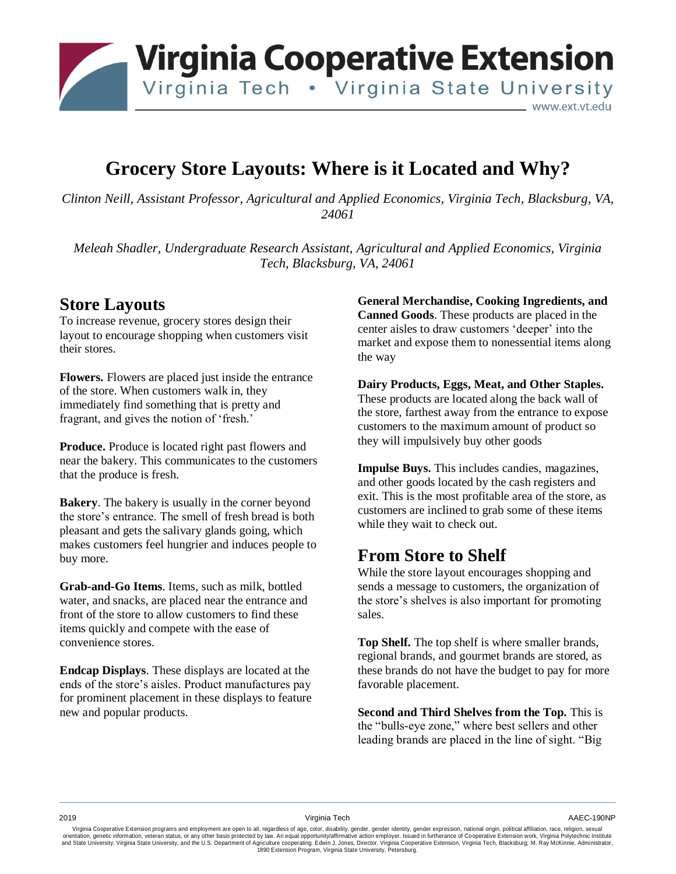

## **Grocery Store Layouts: Where is it Located and Why?**

*Clinton Neill, Assistant Professor, Agricultural and Applied Economics, Virginia Tech, Blacksburg, VA, 24061*

*Meleah Shadler, Undergraduate Research Assistant, Agricultural and Applied Economics, Virginia Tech, Blacksburg, VA, 24061*

### **Store Layouts**

To increase revenue, grocery stores design their layout to encourage shopping when customers visit their stores.

**Flowers.** Flowers are placed just inside the entrance of the store. When customers walk in, they immediately find something that is pretty and fragrant, and gives the notion of 'fresh.'

**Produce.** Produce is located right past flowers and near the bakery. This communicates to the customers that the produce is fresh.

**Bakery**. The bakery is usually in the corner beyond the store's entrance. The smell of fresh bread is both pleasant and gets the salivary glands going, which makes customers feel hungrier and induces people to buy more.

**Grab-and-Go Items**. Items, such as milk, bottled water, and snacks, are placed near the entrance and front of the store to allow customers to find these items quickly and compete with the ease of convenience stores.

**Endcap Displays**. These displays are located at the ends of the store's aisles. Product manufactures pay for prominent placement in these displays to feature new and popular products.

**General Merchandise, Cooking Ingredients, and Canned Goods**. These products are placed in the center aisles to draw customers 'deeper' into the market and expose them to nonessential items along the way

**Dairy Products, Eggs, Meat, and Other Staples.** These products are located along the back wall of the store, farthest away from the entrance to expose customers to the maximum amount of product so they will impulsively buy other goods

**Impulse Buys.** This includes candies, magazines, and other goods located by the cash registers and exit. This is the most profitable area of the store, as customers are inclined to grab some of these items while they wait to check out.

## **From Store to Shelf**

While the store layout encourages shopping and sends a message to customers, the organization of the store's shelves is also important for promoting sales.

**Top Shelf.** The top shelf is where smaller brands, regional brands, and gourmet brands are stored, as these brands do not have the budget to pay for more favorable placement.

**Second and Third Shelves from the Top.** This is the "bulls-eye zone," where best sellers and other leading brands are placed in the line of sight. "Big

Virginia Cooperative Extension programs and employment are open to all, regardless of age, color, disability, gender, gender identity, gender expression, national origin, political affiliation, race, religion, sexual orientation, genetic information, veteran status, or any other basis protected by law. An equal opportunity/affirmative action employer. Issued in furtherance of Cooperative Extension work, Virginia Polytechnic Institute<br>a 1890 Extension Program, Virginia State University, Petersburg.